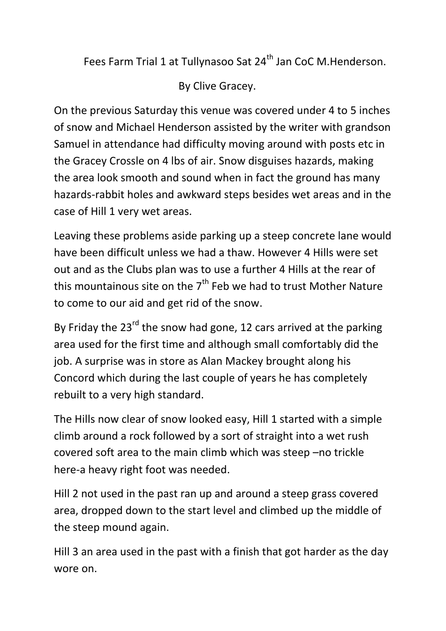Fees Farm Trial 1 at Tullynasoo Sat 24<sup>th</sup> Jan CoC M.Henderson.

By Clive Gracey.

On the previous Saturday this venue was covered under 4 to 5 inches of snow and Michael Henderson assisted by the writer with grandson Samuel in attendance had difficulty moving around with posts etc in the Gracey Crossle on 4 lbs of air. Snow disguises hazards, making the area look smooth and sound when in fact the ground has many hazards-rabbit holes and awkward steps besides wet areas and in the case of Hill 1 very wet areas.

Leaving these problems aside parking up a steep concrete lane would have been difficult unless we had a thaw. However 4 Hills were set out and as the Clubs plan was to use a further 4 Hills at the rear of this mountainous site on the  $7<sup>th</sup>$  Feb we had to trust Mother Nature to come to our aid and get rid of the snow.

By Friday the  $23^{rd}$  the snow had gone, 12 cars arrived at the parking area used for the first time and although small comfortably did the job. A surprise was in store as Alan Mackey brought along his Concord which during the last couple of years he has completely rebuilt to a very high standard.

The Hills now clear of snow looked easy, Hill 1 started with a simple climb around a rock followed by a sort of straight into a wet rush covered soft area to the main climb which was steep –no trickle here-a heavy right foot was needed.

Hill 2 not used in the past ran up and around a steep grass covered area, dropped down to the start level and climbed up the middle of the steep mound again.

Hill 3 an area used in the past with a finish that got harder as the day wore on.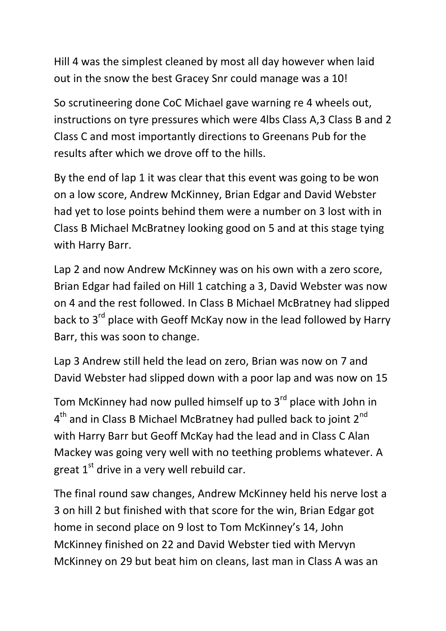Hill 4 was the simplest cleaned by most all day however when laid out in the snow the best Gracey Snr could manage was a 10!

So scrutineering done CoC Michael gave warning re 4 wheels out, instructions on tyre pressures which were 4lbs Class A,3 Class B and 2 Class C and most importantly directions to Greenans Pub for the results after which we drove off to the hills.

By the end of lap 1 it was clear that this event was going to be won on a low score, Andrew McKinney, Brian Edgar and David Webster had yet to lose points behind them were a number on 3 lost with in Class B Michael McBratney looking good on 5 and at this stage tying with Harry Barr.

Lap 2 and now Andrew McKinney was on his own with a zero score, Brian Edgar had failed on Hill 1 catching a 3, David Webster was now on 4 and the rest followed. In Class B Michael McBratney had slipped back to 3<sup>rd</sup> place with Geoff McKay now in the lead followed by Harry Barr, this was soon to change.

Lap 3 Andrew still held the lead on zero, Brian was now on 7 and David Webster had slipped down with a poor lap and was now on 15

Tom McKinney had now pulled himself up to 3<sup>rd</sup> place with John in  $4<sup>th</sup>$  and in Class B Michael McBratney had pulled back to joint 2 $<sup>nd</sup>$ </sup> with Harry Barr but Geoff McKay had the lead and in Class C Alan Mackey was going very well with no teething problems whatever. A great  $1<sup>st</sup>$  drive in a very well rebuild car.

The final round saw changes, Andrew McKinney held his nerve lost a 3 on hill 2 but finished with that score for the win, Brian Edgar got home in second place on 9 lost to Tom McKinney's 14, John McKinney finished on 22 and David Webster tied with Mervyn McKinney on 29 but beat him on cleans, last man in Class A was an